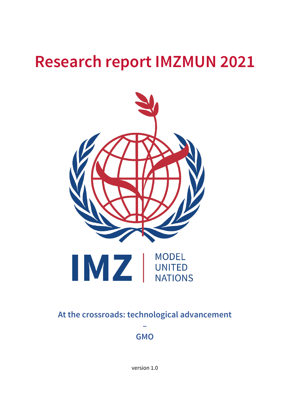# **Research report IMZMUN 2021**



### **At the crossroads: technological advancement**

**– GMO**

version 1.0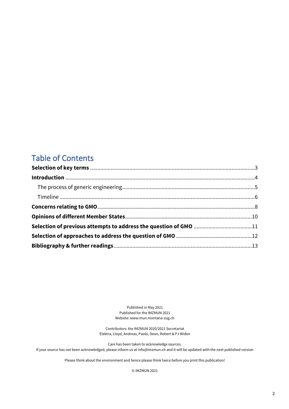### Table of Contents

Published in May 2021 Published for the IMZMUN 2021 Website: www.mun.montana-zug.ch

Contributors: the IMZMUN 2020/2021 Secretariat Elektra, Lloyd, Andreas, Paolo, Deon, Robert & PJ Widen

Care has been taken to acknowledge sources. If your source has not been acknowledged, please inform us at info@imzmun.ch and it will be updated with the next published version

Please think about the environment and hence please think twice before you print this publication!

© IMZMUN 2021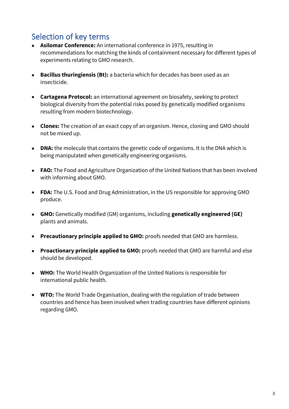# <span id="page-2-0"></span>Selection of key terms

- **Asilomar Conference:** An international conference in 1975, resulting in recommendations for matching the kinds of containment necessary for different types of experiments relating to GMO research.
- **Bacillus thuringiensis (Bt):** a bacteria which for decades has been used as an insecticide.
- **Cartagena Protocol:** an international agreement on biosafety, seeking to protect biological diversity from the potential risks posed by genetically modified organisms resulting from modern biotechnology.
- **Clones:** The creation of an exact copy of an organism. Hence, cloning and GMO should not be mixed up.
- **DNA:** the molecule that contains the genetic code of organisms. It is the DNA which is being manipulated when genetically engineering organisms.
- **FAO:** The Food and Agriculture Organization of the United Nations that has been involved with informing about GMO.
- **FDA:** The U.S. Food and Drug Administration, in the US responsible for approving GMO produce.
- **GMO:** Genetically modified (GM) organisms, including **genetically engineered (GE)**  plants and animals.
- **Precautionary principle applied to GMO:** proofs needed that GMO are harmless.
- **Proactionary principle applied to GMO:** proofs needed that GMO are harmful and else should be developed.
- **WHO:** The World Health Organization of the United Nations is responsible for international public health.
- <span id="page-2-1"></span>• **WTO:** The World Trade Organisation, dealing with the regulation of trade between countries and hence has been involved when trading countries have different opinions regarding GMO.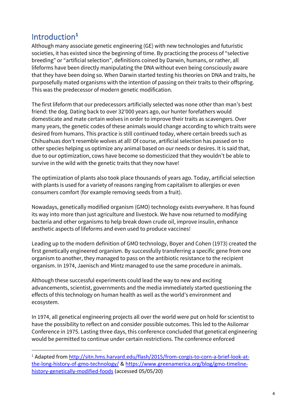# Introduction**<sup>1</sup>**

Although many associate genetic engineering (GE) with new technologies and futuristic societies, it has existed since the beginning of time. By practicing the process of "selective breeding" or "artificial selection", definitions coined by Darwin, humans, or rather, all lifeforms have been directly manipulating the DNA without even being consciously aware that they have been doing so. When Darwin started testing his theories on DNA and traits, he purposefully mated organisms with the intention of passing on their traits to their offspring. This was the predecessor of modern genetic modification.

The first lifeform that our predecessors artificially selected was none other than man's best friend: the dog. Dating back to over 32'000 years ago, our hunter forefathers would domesticate and mate certain wolves in order to improve their traits as scavengers. Over many years, the genetic codes of these animals would change according to which traits were desired from humans. This practice is still continued today, where certain breeds such as Chihuahuas don't resemble wolves at all! Of course, artificial selection has passed on to other species helping us optimize any animal based on our needs or desires. It is said that, due to our optimization, cows have become so domesticized that they wouldn't be able to survive in the wild with the genetic traits that they now have!

The optimization of plants also took place thousands of years ago. Today, artificial selection with plants is used for a variety of reasons ranging from capitalism to allergies or even consumers comfort (for example removing seeds from a fruit).

Nowadays, genetically modified organism (GMO) technology exists everywhere. It has found its way into more than just agriculture and livestock. We have now returned to modifying bacteria and other organisms to help break down crude oil, improve insulin, enhance aesthetic aspects of lifeforms and even used to produce vaccines!

Leading up to the modern definition of GMO technology, Boyer and Cohen (1973) created the first genetically engineered organism. By successfully transferring a specific gene from one organism to another, they managed to pass on the antibiotic resistance to the recipient organism. In 1974, Jaenisch and Mintz managed to use the same procedure in animals.

Although these successful experiments could lead the way to new and exciting advancements, scientist, governments and the media immediately started questioning the effects of this technology on human health as well as the world's environment and ecosystem.

In 1974, all genetical engineering projects all over the world were put on hold for scientist to have the possibility to reflect on and consider possible outcomes. This led to the Asilomar Conference in 1975. Lasting three days, this conference concluded that genetical engineering would be permitted to continue under certain restrictions. The conference enforced

<sup>&</sup>lt;sup>1</sup> Adapted from [http://sitn.hms.harvard.edu/flash/2015/from-corgis-to-corn-a-brief-look-at](http://sitn.hms.harvard.edu/flash/2015/from-corgis-to-corn-a-brief-look-at-the-long-history-of-gmo-technology/)[the-long-history-of-gmo-technology/](http://sitn.hms.harvard.edu/flash/2015/from-corgis-to-corn-a-brief-look-at-the-long-history-of-gmo-technology/) & https://www.greenamerica.org/blog/gmo-timelinehistory-genetically-modified-foods (accessed 05/05/20)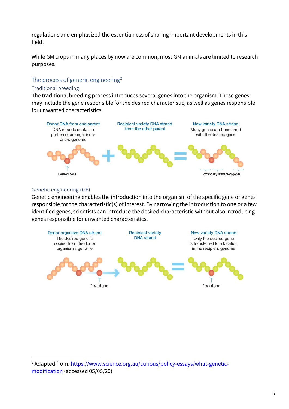regulations and emphasized the essentialness of sharing important developments in this field.

While GM crops in many places by now are common, most GM animals are limited to research purposes.

#### <span id="page-4-0"></span>The process of generic engineering<sup>2</sup>

#### Traditional breeding

The traditional breeding process introduces several genes into the organism. These genes may include the gene responsible for the desired characteristic, as well as genes responsible for unwanted characteristics.



#### Genetic engineering (GE)

Genetic engineering enables the introduction into the organism of the specific gene or genes responsible for the characteristic(s) of interest. By narrowing the introduction to one or a few identified genes, scientists can introduce the desired characteristic without also introducing genes responsible for unwanted characteristics.



<sup>2</sup> Adapted from: [https://www.science.org.au/curious/policy-essays/what-genetic](https://www.science.org.au/curious/policy-essays/what-genetic-modification)[modification](https://www.science.org.au/curious/policy-essays/what-genetic-modification) (accessed 05/05/20)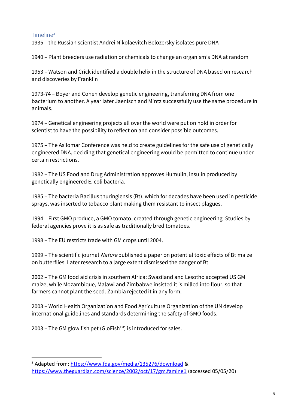#### <span id="page-5-0"></span>Timeline<sup>3</sup>

1935 – the Russian scientist Andrei Nikolaevitch Belozersky isolates pure DNA

1940 – Plant breeders use radiation or chemicals to change an organism's DNA at random

1953 – Watson and Crick identified a double helix in the structure of DNA based on research and discoveries by Franklin

1973-74 – Boyer and Cohen develop genetic engineering, transferring DNA from one bacterium to another. A year later Jaenisch and Mintz successfully use the same procedure in animals.

1974 – Genetical engineering projects all over the world were put on hold in order for scientist to have the possibility to reflect on and consider possible outcomes.

1975 – The Asilomar Conference was held to create guidelines for the safe use of genetically engineered DNA, deciding that genetical engineering would be permitted to continue under certain restrictions.

1982 – The US Food and Drug Administration approves Humulin, insulin produced by genetically engineered E. coli bacteria.

1985 – The bacteria Bacillus thuringiensis (Bt), which for decades have been used in pesticide sprays, was inserted to tobacco plant making them resistant to insect plagues.

1994 – First GMO produce, a GMO tomato, created through genetic engineering. Studies by federal agencies prove it is as safe as traditionally bred tomatoes.

1998 – The EU restricts trade with GM crops until 2004.

1999 – The scientific journal Nature published a paper on potential toxic effects of Bt maize on butterflies. Later research to a large extent dismissed the danger of Bt.

2002 – The GM food aid crisis in southern Africa: Swaziland and Lesotho accepted US GM maize, while Mozambique, Malawi and Zimbabwe insisted it is milled into flour, so that farmers cannot plant the seed. Zambia rejected it in any form.

2003 – World Health Organization and Food Agriculture Organization of the UN develop international guidelines and standards determining the safety of GMO foods.

2003 – The GM glow fish pet (GloFish<sup>TM</sup>) is introduced for sales.

<sup>3</sup> Adapted from: <https://www.fda.gov/media/135276/download> & <https://www.theguardian.com/science/2002/oct/17/gm.famine1> (accessed 05/05/20)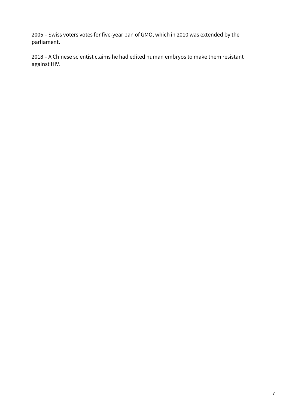2005 – Swiss voters votes for five-year ban of GMO, which in 2010 was extended by the parliament.

<span id="page-6-0"></span>2018 – A Chinese scientist claims he had edited human embryos to make them resistant against HIV.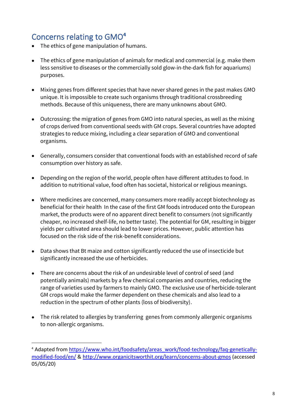### Concerns relating to GMO**<sup>4</sup>**

- The ethics of gene manipulation of humans.
- The ethics of gene manipulation of animals for medical and commercial (e.g. make them less sensitive to diseases or the commercially sold glow-in-the-dark fish for aquariums) purposes.
- Mixing genes from different species that have never shared genes in the past makes GMO unique. It is impossible to create such organisms through traditional crossbreeding methods. Because of this uniqueness, there are many unknowns about GMO.
- Outcrossing: the migration of genes from GMO into natural species, as well as the mixing of crops derived from conventional seeds with GM crops. Several countries have adopted strategies to reduce mixing, including a clear separation of GMO and conventional organisms.
- Generally, consumers consider that conventional foods with an established record of safe consumption over history as safe.
- Depending on the region of the world, people often have different attitudes to food. In addition to nutritional value, food often has societal, historical or religious meanings.
- Where medicines are concerned, many consumers more readily accept biotechnology as beneficial for their health In the case of the first GM foods introduced onto the European market, the products were of no apparent direct benefit to consumers (not significantly cheaper, no increased shelf-life, no better taste). The potential for GM, resulting in bigger yields per cultivated area should lead to lower prices. However, public attention has focused on the risk side of the risk-benefit considerations.
- Data shows that Bt maize and cotton significantly reduced the use of insecticide but significantly increased the use of herbicides.
- There are concerns about the risk of an undesirable level of control of seed (and potentially animals) markets by a few chemical companies and countries, reducing the range of varieties used by farmers to mainly GMO. The exclusive use of herbicide-tolerant GM crops would make the farmer dependent on these chemicals and also lead to a reduction in the spectrum of other plants (loss of biodiversity).
- The risk related to allergies by transferring genes from commonly allergenic organisms to non-allergic organisms.

<sup>&</sup>lt;sup>4</sup> Adapted from [https://www.who.int/foodsafety/areas\\_work/food-technology/faq-genetically](https://www.who.int/foodsafety/areas_work/food-technology/faq-genetically-modified-food/en/)[modified-food/en/](https://www.who.int/foodsafety/areas_work/food-technology/faq-genetically-modified-food/en/) &<http://www.organicitsworthit.org/learn/concerns-about-gmos> (accessed 05/05/20)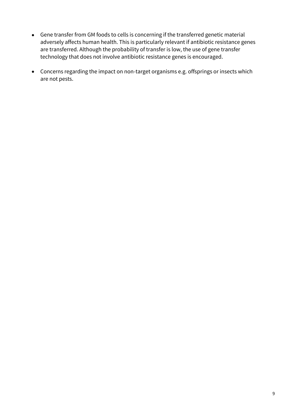- Gene transfer from GM foods to cells is concerning if the transferred genetic material adversely affects human health. This is particularly relevant if antibiotic resistance genes are transferred. Although the probability of transfer is low, the use of gene transfer technology that does not involve antibiotic resistance genes is encouraged.
- Concerns regarding the impact on non-target organisms e.g. offsprings or insects which are not pests.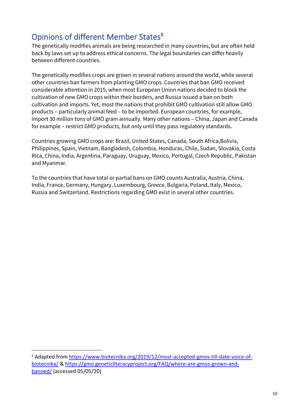# <span id="page-9-0"></span>Opinions of different Member States**<sup>5</sup>**

The genetically modifies animals are being researched in many countries, but are often held back by laws set up to address ethical concerns. The legal boundaries can differ heavily between different countries.

The genetically modifies crops are grown in several nations around the world, while several other countries ban farmers from planting GMO crops. Countries that ban GMO received considerable attention in 2015, when most European Union nations decided to block the cultivation of new GMO crops within their borders, and Russia issued a ban on both cultivation and imports. Yet, most the nations that prohibit GMO cultivation still allow GMO products – particularly animal feed – to be imported. European countries, for example, import 30 million tons of GMO grain annually. Many other nations – China, Japan and Canada for example – restrict GMO products, but only until they pass regulatory standards.

Countries growing GMO crops are: Brazil, United States, Canada, South Africa,Bolivia, Philippines, Spain, Vietnam, Bangladesh, Colombia, Honduras, Chile, Sudan, Slovakia, Costa Rica, China, India, Argentina, Paraguay, Uruguay, Mexico, Portugal, Czech Republic, Pakistan and Myanmar.

To the countries that have total or partial bans on GMO counts Australia, Austria, China, India, France, Germany, Hungary, Luxembourg, Greece, Bulgaria, Poland, Italy, Mexico, Russia and Switzerland. Restrictions regarding GMO exist in several other countries.

<sup>&</sup>lt;sup>5</sup> Adapted from [https://www.biotecnika.org/2019/12/most-accepted-gmos-till-date-voice-of](https://www.biotecnika.org/2019/12/most-accepted-gmos-till-date-voice-of-biotecnika/)[biotecnika/](https://www.biotecnika.org/2019/12/most-accepted-gmos-till-date-voice-of-biotecnika/) & [https://gmo.geneticliteracyproject.org/FAQ/where-are-gmos-grown-and](https://gmo.geneticliteracyproject.org/FAQ/where-are-gmos-grown-and-banned/)[banned/](https://gmo.geneticliteracyproject.org/FAQ/where-are-gmos-grown-and-banned/) (accessed 05/05/20)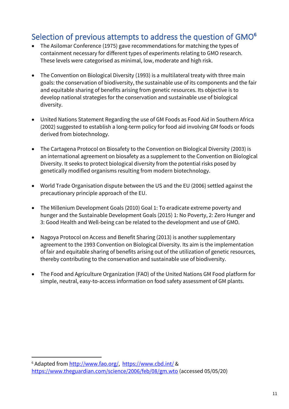### <span id="page-10-0"></span>Selection of previous attempts to address the question of GMO**<sup>6</sup>**

- The Asilomar Conference (1975) gave recommendations for matching the types of containment necessary for different types of experiments relating to GMO research. These levels were categorised as minimal, low, moderate and high risk.
- The Convention on Biological Diversity (1993) is a multilateral treaty with three main goals: the conservation of biodiversity, the sustainable use of its components and the fair and equitable sharing of benefits arising from genetic resources. Its objective is to develop national strategies for the conservation and sustainable use of biological diversity.
- United Nations Statement Regarding the use of GM Foods as Food Aid in Southern Africa (2002) suggested to establish a long-term policy for food aid involving GM foods or foods derived from biotechnology.
- The Cartagena Protocol on Biosafety to the Convention on Biological Diversity (2003) is an international agreement on biosafety as a supplement to the Convention on Biological Diversity. It seeks to protect biological diversity from the potential risks posed by genetically modified organisms resulting from modern biotechnology.
- World Trade Organisation dispute between the US and the EU (2006) settled against the precautionary principle approach of the EU.
- The Millenium Development Goals (2010) Goal 1: To eradicate extreme poverty and hunger and the Sustainable Development Goals (2015) 1: No Poverty, 2: Zero Hunger and 3: Good Health and Well-being can be related to the development and use of GMO.
- Nagoya Protocol on Access and Benefit Sharing (2013) is another supplementary agreement to the 1993 Convention on Biological Diversity. Its aim is the implementation of fair and equitable sharing of benefits arising out of the utilization of genetic resources, thereby contributing to the conservation and sustainable use of biodiversity.
- The Food and Agriculture Organization (FAO) of the United Nations GM Food platform for simple, neutral, easy-to-access information on food safety assessment of GM plants.

<sup>6</sup> Adapted fro[m http://www.fao.org/,](http://www.fao.org/) <https://www.cbd.int/> & <https://www.theguardian.com/science/2006/feb/08/gm.wto> (accessed 05/05/20)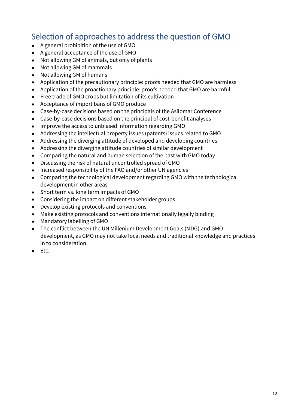### <span id="page-11-0"></span>Selection of approaches to address the question of GMO

- A general prohibition of the use of GMO
- A general acceptance of the use of GMO
- Not allowing GM of animals, but only of plants
- Not allowing GM of mammals
- Not allowing GM of humans
- Application of the precautionary principle: proofs needed that GMO are harmless
- Application of the proactionary principle: proofs needed that GMO are harmful
- Free trade of GMO crops but limitation of its cultivation
- Acceptance of import bans of GMO produce
- Case-by-case decisions based on the principals of the Asilomar Conference
- Case-by-case decisions based on the principal of cost-benefit analyses
- Improve the access to unbiased information regarding GMO
- Addressing the intellectual property issues (patents) issues related to GMO
- Addressing the diverging attitude of developed and developing countries
- Addressing the diverging attitude countries of similar development
- Comparing the natural and human selection of the past with GMO today
- Discussing the risk of natural uncontrolled spread of GMO
- Increased responsibility of the FAO and/or other UN agencies
- Comparing the technological development regarding GMO with the technological development in other areas
- Short term vs. long term impacts of GMO
- Considering the impact on different stakeholder groups
- Develop existing protocols and conventions
- Make existing protocols and conventions internationally legally binding
- Mandatory labelling of GMO
- The conflict between the UN Millenium Development Goals (MDG) and GMO development, as GMO may not take local needs and traditional knowledge and practices in to consideration.
- Etc.